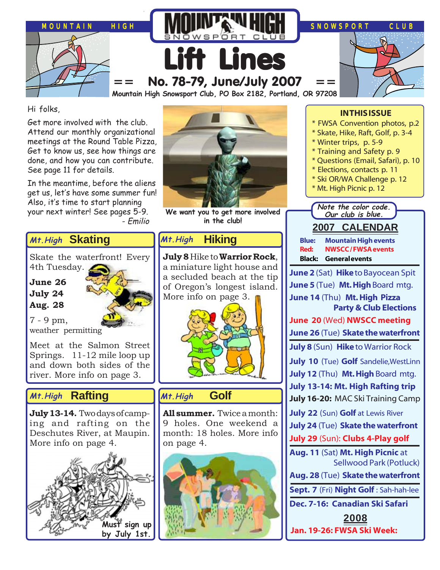

Hi folks,

Get more involved with the club. Attend our monthly organizational meetings at the Round Table Pizza, Get to know us, see how things are done, and how you can contribute. See page 11 for details.

In the meantime, before the aliens get us, let's have some summer fun! Also, it's time to start planning your next winter! See pages 5-9. - Emilio

**Skating Mt.High**

Skate the waterfront! Every 4th Tuesday.

**June 26 July 24 Aug. 28**



7 - 9 pm, weather permitting

Meet at the Salmon Street Springs. 11-12 mile loop up and down both sides of the river. More info on page 3.

# **Rafting Mt.High Golf**

**July 13-14.** Two days of camping and rafting on the Deschutes River, at Maupin. More info on page 4.





**We want you to get more involved in the club!**

### **Hiking Mt.High**

**July 8** Hike to **Warrior Rock**, a miniature light house and a secluded beach at the tip of Oregon's longest island. More info on page 3.



# **Mt.High**

**All summer.** Twice a month: 9 holes. One weekend a month: 18 holes. More info on page 4.



## **IN THIS ISSUE**

- \* FWSA Convention photos, p.2
- \* Skate, Hike, Raft, Golf, p. 3-4
- \* Winter trips, p. 5-9
- \* Training and Safety p. 9
- \* Questions (Email, Safari), p. 10
- \* Elections, contacts p. 11
- \* Ski OR/WA Challenge p. 12
- \* Mt. High Picnic p. 12

**Note the color code. Our club is blue.**

**2007 CALENDAR Blue: Mountain High events**

**Red: NWSCC / FWSA events Black: General events**

**June 2** (Sat) **Hike** to Bayocean Spit **June 5** (Tue) **Mt. High** Board mtg. **June 14** (Thu) **Mt. High Pizza Party & Club Elections**

**June 20** (Wed) **NWSCC meeting**

**June 26** (Tue) **Skate the waterfront**

**July 8** (Sun) **Hike** to Warrior Rock

- **July 10** (Tue) **Golf** Sandelie,WestLinn
- **July 12** (Thu) **Mt. High** Board mtg.
- **July 13-14: Mt. High Rafting trip**
- **July 16-20:** MAC Ski Training Camp
- **July 22** (Sun) **Golf** at Lewis River
- **July 24** (Tue) **Skate the waterfront**

**July 29** (Sun): **Clubs 4-Play golf**

**Aug. 11** (Sat) **Mt. High Picnic** at Sellwood Park (Potluck)

**Aug. 28** (Tue) **Skate the waterfront**

**Sept. 7** (Fri) **Night Golf** : Sah-hah-lee

**Dec. 7-16: Canadian Ski Safari**

**2008 Jan. 19-26: FWSA Ski Week:**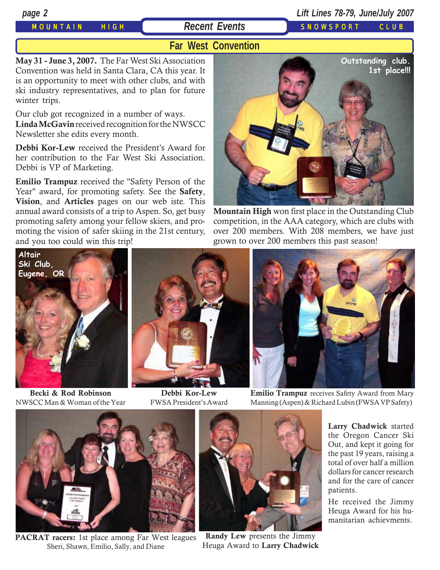# MOUNTAIN HIGH **Recent Events** SNOWSPORT CLUB

# *page 2 Lift Lines 78-79, June/July 2007*

# **Far West Convention**

**May 31 - June 3, 2007.** The Far West Ski Association Convention was held in Santa Clara, CA this year. It is an opportunity to meet with other clubs, and with ski industry representatives, and to plan for future winter trips.

Our club got recognized in a number of ways. **Linda McGavin** received recognition for the NWSCC Newsletter she edits every month.

**Debbi Kor-Lew** received the President's Award for her contribution to the Far West Ski Association. Debbi is VP of Marketing.

**Emilio Trampuz** received the "Safety Person of the Year" award, for promoting safety. See the **Safety**, **Vision**, and **Articles** pages on our web iste. This annual award consists of a trip to Aspen. So, get busy promoting safety among your fellow skiers, and promoting the vision of safer skiing in the 21st century, and you too could win this trip!



**Mountain High** won first place in the Outstanding Club competition, in the AAA category, which are clubs with over 200 members. With 208 members, we have just grown to over 200 members this past season!



**Becki & Rod Robinson** NWSCC Man & Woman of the Year



**Debbi Kor-Lew** FWSA President's Award



**Emilio Trampuz** receives Safety Award from Mary Manning (Aspen) & Richard Lubin (FWSA VP Safety)



**PACRAT racers:** 1st place among Far West leagues Sheri, Shawn, Emilio, Sally, and Diane



**Randy Lew** presents the Jimmy Heuga Award to **Larry Chadwick**

**Larry Chadwick** started the Oregon Cancer Ski Out, and kept it going for the past 19 years, raising a total of over half a million dollars for cancer research and for the care of cancer patients.

He received the Jimmy Heuga Award for his humanitarian achievments.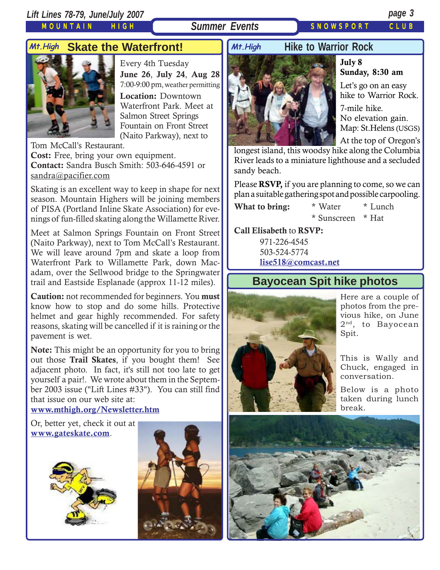MOUNTAIN HIGH

# **Summer Events** SNOWSPORT CLUB

# **Skate the Waterfront! Mt.High Mt.High**



Every 4th Tuesday **June 26**, **July 24**, **Aug 28** 7:00-9:00 pm, weather permitting **Location:** Downtown Waterfront Park. Meet at Salmon Street Springs Fountain on Front Street (Naito Parkway), next to

Tom McCall's Restaurant. **Cost:** Free, bring your own equipment. **Contact:** Sandra Busch Smith: 503-646-4591 or sandra@pacifier.com

Skating is an excellent way to keep in shape for next season. Mountain Highers will be joining members of PISA (Portland Inline Skate Association) for evenings of fun-filled skating along the Willamette River.

Meet at Salmon Springs Fountain on Front Street (Naito Parkway), next to Tom McCall's Restaurant. We will leave around 7pm and skate a loop from Waterfront Park to Willamette Park, down Macadam, over the Sellwood bridge to the Springwater trail and Eastside Esplanade (approx 11-12 miles).

**Caution:** not recommended for beginners. You **must** know how to stop and do some hills. Protective helmet and gear highly recommended. For safety reasons, skating will be cancelled if it is raining or the pavement is wet.

**Note:** This might be an opportunity for you to bring out those **Trail Skates**, if you bought them! See adjacent photo. In fact, it's still not too late to get yourself a pair!. We wrote about them in the September 2003 issue ("Lift Lines #33"). You can still find that issue on our web site at:

## **[www.mthigh.org/Newsletter.htm](http://www.mthigh.org/Newsletter.htm)**

Or, better yet, check it out at **[www.gateskate.com](http://www.gateskate.com/home.asp)**.





# **Hike to Warrior Rock**



## **July 8 Sunday, 8:30 am**

Let's go on an easy hike to Warrior Rock.

7-mile hike. No elevation gain. Map: St.Helens (USGS) At the top of Oregon's

longest island, this woodsy hike along the Columbia River leads to a miniature lighthouse and a secluded sandy beach.

Please **RSVP,** if you are planning to come, so we can plan a suitable gathering spot and possible carpooling.

**What to bring:** \* Water \* Lunch \* Sunscreen \* Hat

**Call Elisabeth** to **RSVP:**

971-226-4545 503-524-5774 **[lise518@comcast.net](mailto:lise518@comcast.net)**

# **Bayocean Spit hike photos**



Here are a couple of photos from the previous hike, on June 2<sup>nd</sup>, to Bayocean Spit.

This is Wally and Chuck, engaged in conversation.

Below is a photo taken during lunch break.

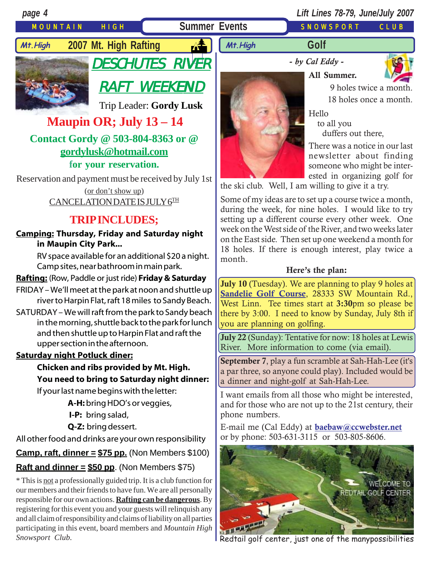# MOUNTAIN HIGH **Summer Events** SNOWSPORT CLUB

*page 4 Lift Lines 78-79, June/July 2007*



**Mt.High 2007 Mt. High Rafting** 4

DESCHUTES RIVER

**-** *by Cal Eddy* **-**

**All Summer.**

**Golf**



 9 holes twice a month. 18 holes once a month.

Hello

 to all you duffers out there,

There was a notice in our last newsletter about finding someone who might be interested in organizing golf for

the ski club. Well, I am willing to give it a try.

Some of my ideas are to set up a course twice a month, during the week, for nine holes. I would like to try setting up a different course every other week. One week on the West side of the River, and two weeks later on the East side. Then set up one weekend a month for 18 holes. If there is enough interest, play twice a month.

## **Here's the plan:**

**July 10** (Tuesday). We are planning to play 9 holes at **[Sandelie Golf Course](http://www.sandeliegolfcourse.com/)**, 28333 SW Mountain Rd., West Linn. Tee times start at **3:30**pm so please be there by 3:00. I need to know by Sunday, July 8th if you are planning on golfing.

**July 22** (Sunday): Tentative for now: 18 holes at Lewis River. More information to come (via email).

**September 7**, play a fun scramble at Sah-Hah-Lee (it's a par three, so anyone could play). Included would be a dinner and night-golf at Sah-Hah-Lee.

I want emails from all those who might be interested, and for those who are not up to the 21st century, their phone numbers.

E-mail me (Cal Eddy) at **[baebaw@ccwebster.net](mailto:baebaw@ccwebster.net)** or by phone: 503-631-3115 or 503-805-8606.



Redtail golf center, just one of the manypossibilities

RAFT WEEKEND Trip Leader: **Gordy Lusk**

**Maupin OR; July 13 – 14**

**Contact Gordy @ 503-804-8363 or @ [gordylusk@hotmail.com](mailto:gordylusk@hotmail.com)**

**for your reservation.**

Reservation and payment must be received by July 1st (or don't show up)

CANCELATION DATE IS JULY 6TH

# **TRIP INCLUDES;**

**Camping: Thursday, Friday and Saturday night in Maupin City Park...**

> RV space available for an additional \$20 a night. Camp sites, near bathroom in main park.

# **Rafting:** (Row, Paddle or just ride) **Friday & Saturday**

- FRIDAY We'll meet at the park at noon and shuttle up river to Harpin Flat, raft 18 miles to Sandy Beach.
- SATURDAY We will raft from the park to Sandy beach in the morning, shuttle back to the park for lunch and then shuttle up to Harpin Flat and raft the upper section in the afternoon.

## **Saturday night Potluck diner:**

**Chicken and ribs provided by Mt. High. You need to bring to Saturday night dinner:**

If your last name begins with the letter:

**A-H:** bring HDO's or veggies,

- **I-P:** bring salad,
- **Q-Z:** bring dessert.

All other food and drinks are your own responsibility

# **Camp, raft, dinner =**  $$75$  **pp.** (Non Members  $$100$ )

# **Raft and dinner = \$50 pp**. (Non Members \$75)

\* This is not a professionally guided trip. It is a club function for our members and their friends to have fun. We are all personally responsible for our own actions. **Rafting can be dangerous**. By registering for this event you and your guests will relinquish any and all claim of responsibility and claims of liability on all parties participating in this event, board members and *Mountain High Snowsport Club.*

**Mt.High**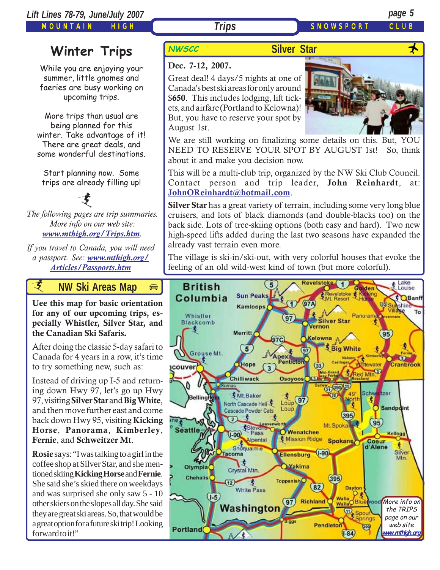MOUNTAIN HIGH

**Trips** SNOWSPORT CLUE

# **Winter Trips** NWSCC

While you are enjoying your summer, little gnomes and faeries are busy working on upcoming trips.

More trips than usual are being planned for this winter. Take advantage of it! There are great deals, and some wonderful destinations.

Start planning now. Some trips are already filling up!

*The following pages are trip summaries. More info on our web site: [www.mthigh.org/Trips.htm](http://www.mthigh.org/Trips.htm).* 支

*If you travel to Canada, you will need a passport. See: [www.mthigh.org/](http://www.mthigh.org/Articles/Passports.htm) [Articles/Passports.htm](http://www.mthigh.org/Articles/Passports.htm)*

*i* **AW Ski Areas Ma[p](http://beavercreek.snow.com/winterhome.asp)** 

**Uee this map for basic orientation [for any of our upcoming trips, es](http://beavercreek.snow.com/winterhome.asp)pecially Whistler, Silver Star, and [the Canadian Ski Safaris.](http://beavercreek.snow.com/winterhome.asp)** 

After doing the classic 5-day safari to Canada for 4 years in a row, it's time to try something new, such as:

Instead of driving up I-5 and returning down Hwy 97, let's go up Hwy 97, visiting **Silver Star** and **Big White**, and then move further east and come back down Hwy 95, visiting **Kicking Horse**, **Panorama**, **Kimberley**, **Fernie**, and **Schweitzer Mt**.

**Rosie** says: "I was talking to a girl in the coffee shop at Silver Star, and she mentioned skiing **Kicking Horse** and **Fernie**. She said she's skied there on weekdays and was surprised she only saw 5 - 10 other skiers on the slopes all day. She said they are great ski areas. So, that would be a great option for a future ski trip! Looking forward to it!"

# **Dec. 7-12, 2007.**

Great deal! 4 days/5 nights at one of Canada's best ski areas for only around \$**650**. This includes lodging, lift tickets, and airfare (Portland to Kelowna)! But, you have to reserve your spot by August 1st.



We are still working on finalizing some details on this. But, YOU NEED TO RESERVE YOUR SPOT BY AUGUST 1st! So, think about it and make you decision now.

This will be a multi-club trip, organized by the NW Ski Club Council. Contact person and trip leader, **John Reinhardt**, at: **JohnOReinhardt@hotmail.com**.

**Silver Star** has a great variety of terrain, including some very long blue cruisers, and lots of black diamonds (and double-blacks too) on the back side. Lots of tree-skiing options (both easy and hard). Two new high-speed lifts added during the last two seasons have expanded the already vast terrain even more.

The village is ski-in/ski-out, with very colorful houses that evoke the feeling of an old wild-west kind of town (but more colorful).

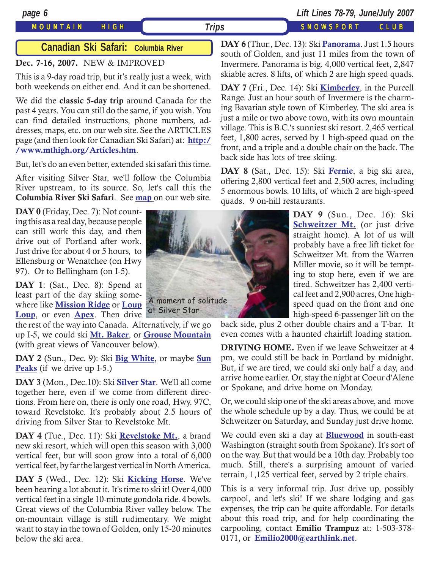## MOUNTAIN HIGH *Trips* SNOWSPORT CLUB

*page 6 Lift Lines 78-79, June/July 2007*

# **Canadian Ski Safari: Columbia River**

## **Dec. 7-16, 2007.** NEW & IMPROVED

This is a 9-day road trip, but it's really just a week, with both weekends on either end. And it can be shortened.

We did the **classic 5-day trip** around Canada for the past 4 years. You can still do the same, if you wish. You can find detailed instructions, phone numbers, addresses, maps, etc. on our web site. See the ARTICLES page (and then look for Canadian Ski Safari) at: **[http:/](http://www.mthigh.org/Articles.htm) [/www.mthigh.org/Articles.htm](http://www.mthigh.org/Articles.htm)**.

But, let's do an even better, extended ski safari this time.

After visiting Silver Star, we'll follow the Columbia River upstream, to its source. So, let's call this the **Columbia River Ski Safari**. See **[map](http://www.mthigh.org/Trips/Map-NW-Ski-Safaris-w.jpg)** on our web site.

DAY 0 (Friday, Dec. 7): Not counting this as a real day, because people can still work this day, and then drive out of Portland after work. Just drive for about 4 or 5 hours, to Ellensburg or Wenatchee (on Hwy 97). Or to Bellingham (on I-5).

**DAY 1**: (Sat., Dec. 8): Spend at least part of the day skiing somewhere like **[Mission Ridge](http://www.missionridge.com/)** or **Loup [Loup](http://www.skitheloup.com/)**, or even **[Apex](http://www.apexresort.com/)**. Then drive at Silver Star

the rest of the way into Canada. Alternatively, if we go up I-5, we could ski **[Mt. Baker](http://www.mtbaker.us/)**, or **[Grouse Mountain](http://www.grousemountain.com/welcome.cfm)** (with great views of Vancouver below).

**DAY 2** (Sun., Dec. 9): Ski **[Big White](http://www.bigwhite.com/)**, or maybe **[Sun](http://www.sunpeaksresort.com/) [Peaks](http://www.sunpeaksresort.com/)** (if we drive up I-5.)

**DAY 3** (Mon., Dec.10): Ski **[Silver Star](http://www.skisilverstar.com/)**. We'll all come together here, even if we come from different directions. From here on, there is only one road, Hwy. 97C, toward Revelstoke. It's probably about 2.5 hours of driving from Silver Star to Revelstoke Mt.

**DAY 4** (Tue., Dec. 11): Ski **[Revelstoke Mt.](http://www.discoverrevelstoke.com/)**, a brand new ski resort, which will open this season with 3,000 vertical feet, but will soon grow into a total of 6,000 vertical feet, by far the largest vertical in North America.

**DAY 5** (Wed., Dec. 12): Ski **[Kicking Horse](http://www.kickinghorseresort.com/winter/)**. We've been hearing a lot about it. It's time to ski it! Over 4,000 vertical feet in a single 10-minute gondola ride. 4 bowls. Great views of the Columbia River valley below. The on-mountain village is still rudimentary. We might want to stay in the town of Golden, only 15-20 minutes below the ski area.



**DAY 6** (Thur., Dec. 13): Ski **[Panorama](http://www.panoramaresort.com/index.htm)**. Just 1.5 hours south of Golden, and just 11 miles from the town of Invermere. Panorama is big. 4,000 vertical feet, 2,847 skiable acres. 8 lifts, of which 2 are high speed quads.

**DAY 7** (Fri., Dec. 14): Ski **[Kimberley](http://www.skikimberley.com/)**, in the Purcell Range. Just an hour south of Invermere is the charming Bavarian style town of Kimberley. The ski area is just a mile or two above town, with its own mountain village. This is B.C.'s sunniest ski resort. 2,465 vertical feet, 1,800 acres, served by 1 high-speed quad on the front, and a triple and a double chair on the back. The back side has lots of tree skiing.

**DAY 8** (Sat., Dec. 15): Ski **[Fernie](http://www.skifernie.com/the-mountain.aspx)**, a big ski area, offering 2,800 vertical feet and 2,500 acres, including 5 enormous bowls. 10 lifts, of which 2 are high-speed quads. 9 on-hill restaurants.

> **DAY 9** (Sun., Dec. 16): Ski **BEHWEILET MI.** (OF JUST LITVE<br>straight home). A lot of us will **[Schweitzer Mt.](http://www.schweitzer.com/)** (or just drive probably have a free lift ticket for Schweitzer Mt. from the Warren Miller movie, so it will be tempting to stop here, even if we are tired. Schweitzer has 2,400 vertical feet and 2,900 acres, One highspeed quad on the front and one high-speed 6-passenger lift on the

back side, plus 2 other double chairs and a T-bar. It even comes with a haunted chairlift loading station.

**DRIVING HOME.** Even if we leave Schweitzer at 4 pm, we could still be back in Portland by midnight. But, if we are tired, we could ski only half a day, and arrive home earlier. Or, stay the night at Coeur d'Alene or Spokane, and drive home on Monday.

Or, we could skip one of the ski areas above, and move the whole schedule up by a day. Thus, we could be at Schweitzer on Saturday, and Sunday just drive home.

We could even ski a day at **[Bluewood](http://www.bluewood.com/)** in south-east Washington (straight south from Spokane). It's sort of on the way. But that would be a 10th day. Probably too much. Still, there's a surprising amount of varied terrain, 1,125 vertical feet, served by 2 triple chairs.

This is a very informal trip. Just drive up, possibly carpool, and let's ski! If we share lodging and gas expenses, the trip can be quite affordable. For details about this road trip, and for help coordinating the carpooling, contact **Emilio Trampuz** at: 1-503-378- 0171, or **[Emilio2000@earthlink.net](mailto:Emilio2000@earthlink.net)**.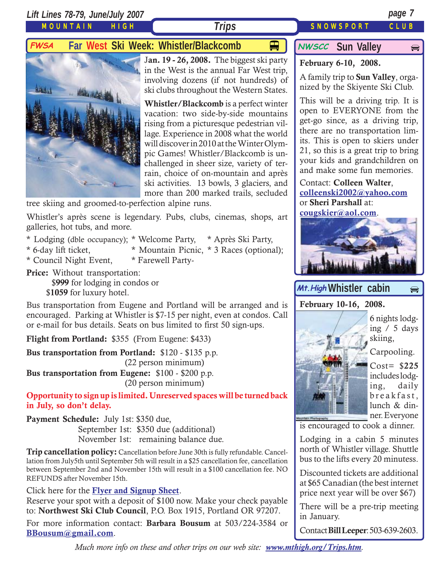*Lift Lines 78-79, June/July 2007 page 7*

MOUNTAIN HIGH

# **Trips** SNOWSPORT CLUB

 $\bigoplus$ 

**FWSA** Far West Ski Week: Whistler/Blackcomb  $\Box$  MWSCC Sun Valley



J**an. 19 - 26, 2008.** The biggest ski party in the West is the annual Far West trip, involving dozens (if not hundreds) of ski clubs throughout the Western States.

**Whistler/Blackcomb** is a perfect winter vacation: two side-by-side mountains rising from a picturesque pedestrian village. Experience in 2008 what the world will discover in 2010 at the Winter Olympic Games! Whistler/Blackcomb is unchallenged in sheer size, variety of terrain, choice of on-mountain and après ski activities. 13 bowls, 3 glaciers, and more than 200 marked trails, secluded

tree skiing and groomed-to-perfection alpine runs.

Whistler's après scene is legendary. Pubs, clubs, cinemas, shops, art galleries, hot tubs, and more.

- \* Lodging (dble occupancy); \* Welcome Party, \* Après Ski Party,
- 
- \* 6-day lift ticket, \* Mountain Picnic, \* 3 Races (optional);
- \* Council Night Event, \* Farewell Party-

**Price:** Without transportation: \$**999** for lodging in condos or \$**1059** for luxury hotel.

Bus transportation from Eugene and Portland will be arranged and is encouraged. Parking at Whistler is \$7-15 per night, even at condos. Call or e-mail for bus details. Seats on bus limited to first 50 sign-ups.

**Flight from Portland:** \$355 (From Eugene: \$433)

**Bus transportation from Portland:** \$120 - \$135 p.p. (22 person minimum)

**Bus transportation from Eugene:** \$100 - \$200 p.p. (20 person minimum)

**Opportunity to sign up is limited. Unreserved spaces will be turned back in July, so don't delay.**

**Payment Schedule:** July 1st: \$350 due,

September 1st: \$350 due (additional) November 1st: remaining balance due.

**Trip cancellation policy:** Cancellation before June 30th is fully refundable. Cancellation from July5th until September 5th will result in a \$25 cancellation fee, cancellation between September 2nd and November 15th will result in a \$100 cancellation fee. NO REFUNDS after November 15th.

Click here for the **[Flyer and Signup Sheet](http://www.mthigh.org/Trips/2008-FWSA-Whistler-flier.pdf)**.

Reserve your spot with a deposit of \$100 now. Make your check payable to: **Northwest Ski Club Council**, P.O. Box 1915, Portland OR 97207.

For more information contact: **Barbara Bousum** at 503/224-3584 or **[BBousum@gmail.com](mailto:BBousum@gmail.com)**.

**NWSCC** Sun Valley

# **February 6-10, 2008.**

A family trip to **Sun Valley**, organized by the Skiyente Ski Club.

This will be a driving trip. It is open to EVERYONE from the get-go since, as a driving trip, there are no transportation limits. This is open to skiers under 21, so this is a great trip to bring your kids and grandchildren on and make some fun memories.

Contact: **Colleen Walter**, **[colleenski2002@yahoo.com](mailto:colleenski2002@yahoo.com)** or **Sheri Parshall** at:

**[cougskier@aol.com](mailto:cougskier@aol.com)**.



# Mt.High Whistler cabin  $\Rightarrow$

**February 10-16, 2008.**



Carpooling.

Cost= \$**225** includes lodging, daily breakfast, lunch & dinner. Everyone

is encouraged to cook a dinner.

Lodging in a cabin 5 minutes north of Whistler village. Shuttle bus to the lifts every 20 minutess.

Discounted tickets are additional at \$65 Canadian (the best internet price next year will be over \$67)

There will be a pre-trip meeting in January.

Contact **Bill Leeper**: 503-639-2603.

*Much more info on these and other trips on our web site: [www.mthigh.org/Trips.htm](http://www.mthigh.org/Trips.htm).*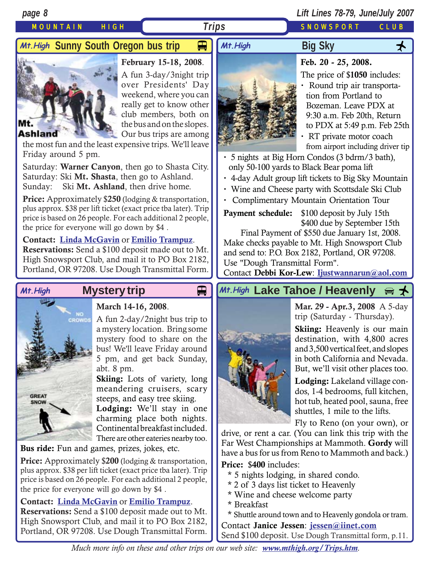# MOUNTAIN HIGH *Trips* SNOWSPORT CLUB

*page 8 Lift Lines 78-79, June/July 2007*

# *Mt.High S*unny South Oregon bus trip <del>p</del> | | *Mt.High* Big Sky



**February 15-18, 2008**.

A fun 3-day/3night trip over Presidents' Day weekend, where you can really get to know other club members, both on the bus and on the slopes. Our bus trips are among

### **Ashland**

the most fun and the least expensive trips. We'll leave Friday around 5 pm.

Saturday: **Warner Canyon**, then go to Shasta City. Saturday: Ski **Mt. Shasta**, then go to Ashland. Sunday: Ski **Mt. Ashland**, then drive home.

**Price:** Approximately \$**250** (lodging & transportation, plus approx. \$38 per lift ticket (exact price tba later). Trip price is based on 26 people. For each additional 2 people, the price for everyone will go down by \$4 .

## **Contact: [Linda McGavin](mailto:Trips@mthigh.org)** or **[Emilio Trampuz](mailto:Emilio2000@earthlink.net)**.

**Reservations:** Send a \$100 deposit made out to Mt. High Snowsport Club, and mail it to PO Box 2182, Portland, OR 97208. Use Dough Transmittal Form.



# **March 14-16, 2008**.

A fun 2-day/2night bus trip to a mystery location. Bring some mystery food to share on the bus! We'll leave Friday around 5 pm, and get back Sunday, abt. 8 pm.

**Skiing:** Lots of variety, long meandering cruisers, scary steeps, and easy tree skiing.

**Lodging:** We'll stay in one charming place both nights. Continental breakfast included. There are other eateries nearby too.

**Bus ride:** Fun and games, prizes, jokes, etc.

**Price:** Approximately \$**200** (lodging & transportation, plus approx. \$38 per lift ticket (exact price tba later). Trip price is based on 26 people. For each additional 2 people, the price for everyone will go down by \$4 .

## **Contact: [Linda McGavin](mailto:Trips@mthigh.org)** or **[Emilio Trampuz](mailto:Emilio2000@earthlink.net)**.

**Reservations:** Send a \$100 deposit made out to Mt. High Snowsport Club, and mail it to PO Box 2182, Portland, OR 97208. Use Dough Transmittal Form.



# **Feb. 20 - 25, 2008.**

The price of \$**1050** includes:

- **·** Round trip air transportation from Portland to Bozeman. Leave PDX at 9:30 a.m. Feb 20th, Return to PDX at 5:49 p.m. Feb 25th
- **·** RT private motor coach from airport including driver tip

**·** 5 nights at Big Horn Condos (3 bdrm/3 bath), only 50-100 yards to Black Bear poma lift

<del>口</del> │ *Mt.High* Big Sky <del>人</del>

- **·** 4-day Adult group lift tickets to Big Sky Mountain
- **·** Wine and Cheese party with Scottsdale Ski Club
- **·** Complimentary Mountain Orientation Tour

**Payment schedule:** \$100 deposit by July 15th \$400 due by September 15th

 Final Payment of \$550 due January 1st, 2008. Make checks payable to Mt. High Snowsport Club and send to: P.O. Box 2182, Portland, OR 97208. Use "Dough Transmittal Form".

Contact **Debbi Kor-Lew**: **[Ijustwannarun@aol.com](mailto:Ijustwannarun@aol.com)**

# Mt.High Mystery trip **Details Altrigh Lake Tahoe / Heavenly** a <del>↓</del>



**Mar. 29 - Apr.3, 2008** A 5-day trip (Saturday - Thursday).

**Skiing:** Heavenly is our main destination, with 4,800 acres and 3,500 vertical feet, and slopes in both California and Nevada. But, we'll visit other places too.

**Lodging:** Lakeland village condos, 1-4 bedrooms, full kitchen, hot tub, heated pool, sauna, free shuttles, 1 mile to the lifts.

Fly to Reno (on your own), or

drive, or rent a car. (You can link this trip with the Far West Championships at Mammoth. **Gordy** will have a bus for us from Reno to Mammoth and back.)

**Price:** \$**400** includes:

- \* 5 nights lodging, in shared condo.
- \* 2 of 3 days list ticket to Heavenly
- \* Wine and cheese welcome party
- \* Breakfast

\* Shuttle around town and to Heavenly gondola or tram. Contact **Janice Jessen**: **[jessen@iinet.com](mailto:jessen@iinet.com)** Send \$100 deposit. Use Dough Transmittal form, p.11.

*Much more info on these and other trips on our web site: [www.mthigh.org/Trips.htm](http://www.mthigh.org/Trips.htm).*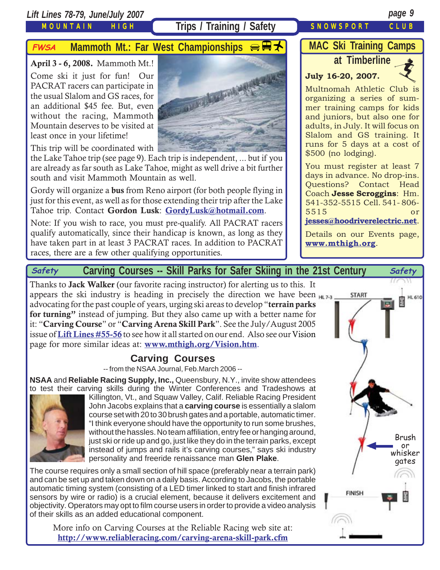*Lift Lines 78-79, June/July 2007 page 9*

MOUNTAIN HIGH

# Trips / Training / Safety SNOWSPORT CLUB

# **FWSA** Mammoth Mt.: Far West Championships  $\bigoplus$  **H**

**April 3 - 6, 2008.** Mammoth Mt.! Come ski it just for fun! Our PACRAT racers can participate in the usual Slalom and GS races, for an additional \$45 fee. But, even without the racing, Mammoth Mountain deserves to be visited at least once in your lifetime!



This trip will be coordinated with

the Lake Tahoe trip (see page 9). Each trip is independent, ... but if you are already as far south as Lake Tahoe, might as well drive a bit further south and visit Mammoth Mountain as well.

Gordy will organize a **bus** from Reno airport (for both people flying in just for this event, as well as for those extending their trip after the Lake Tahoe trip. Contact **Gordon Lusk**: **[GordyLusk@hotmail.com](mailto:gordylusk@hotmail.com)**.

Note: If you wish to race, you must pre-qualify. All PACRAT racers qualify automatically, since their handicap is known, as long as they have taken part in at least 3 PACRAT races. In addition to PACRAT races, there are a few other qualifying opportunities.

# **MAC Ski Training Camps**

# **July 16-20, 2007.**



Multnomah Athletic Club is organizing a series of summer training camps for kids and juniors, but also one for adults, in July. It will focus on Slalom and GS training. It runs for 5 days at a cost of \$500 (no lodging).

You must register at least 7 days in advance. No drop-ins. Questions? Contact Head Coach **Jesse Scroggins**: Hm. 541-352-5515 Cell. 541- 806- 5515 or

### **[jesses@hoodriverelectric.net](mailto:jesses@hoodriverelectric.net)**.

Details on our Events page, **[www.mthigh.org](http://www.mthigh.org/)**.

# **Carving Courses -- Skill Parks for Safer Skiing in the 21st Century Safety Safety**

Thanks to **Jack Walker** (our favorite racing instructor) for alerting us to this. It appears the ski industry is heading in precisely the direction we have been advocating for the past couple of years, urging ski areas to develop "**terrain parks for turning"** instead of jumping. But they also came up with a better name for it: "**Carving Course**" or "**Carving Arena Skill Park**". See the July/August 2005 issue of **[Lift Lines #55-56](http://www.mthigh.org/Newsletters/LiftLines55-56.pdf)** to see how it all started on our end. Also see our Vision page for more similar ideas at: **[www.mthigh.org/Vision.htm](http://www.mthigh.org/Vision.htm)**.

# **Carving Courses**

-- from the NSAA Journal, Feb.March 2006 --

**NSAA** and **Reliable Racing Supply, Inc.,** Queensbury, N.Y., invite show attendees to test their carving skills during the Winter Conferences and Tradeshows at



Killington, Vt., and Squaw Valley, Calif. Reliable Racing President John Jacobs explains that a **carving course** is essentially a slalom course set with 20 to 30 brush gates and a portable, automatic timer. "I think everyone should have the opportunity to run some brushes, without the hassles. No team affiliation, entry fee or hanging around, just ski or ride up and go, just like they do in the terrain parks, except instead of jumps and rails it's carving courses," says ski industry personality and freeride renaissance man **Glen Plake**.

The course requires only a small section of hill space (preferably near a terrain park) and can be set up and taken down on a daily basis. According to Jacobs, the portable automatic timing system (consisting of a LED timer linked to start and finish infrared sensors by wire or radio) is a crucial element, because it delivers excitement and objectivity. Operators may opt to film course users in order to provide a video analysis of their skills as an added educational component.

More info on Carving Courses at the Reliable Racing web site at: **<http://www.reliableracing.com/carving-arena-skill-park.cfm>**

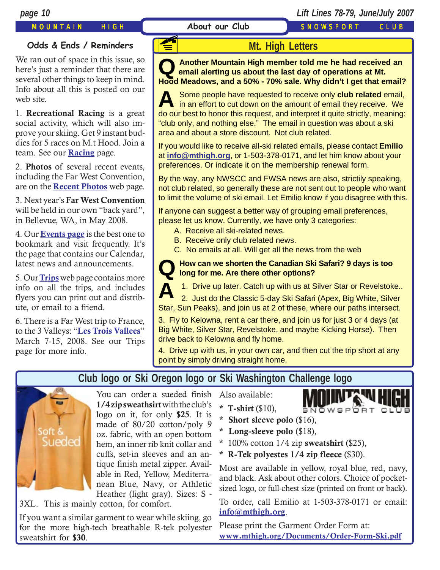MOUNTAIN HIGH **About our Club** SNOWSPORT CLUB

## **Odds & Ends / Reminders**

We ran out of space in this issue, so here's just a reminder that there are several other things to keep in mind. Info about all this is posted on our web site.

1. **Recreational Racing** is a great social activity, which will also improve your skiing. Get 9 instant buddies for 5 races on M.t Hood. Join a team. See our **[Racing](http://www.mthigh.org/Racing.htm)** page.

2. **Photos** of several recent events, including the Far West Convention, are on the **[Recent Photos](http://www.mthigh.org/PhotosRecent.htm)** web page.

3. Next year's **Far West Convention** will be held in our own "back yard", in Bellevue, WA, in May 2008.

4. Our **[Events page](http://www.mthigh.org/Events.htm)** is the best one to bookmark and visit frequently. It's the page that contains our Calendar, latest news and announcements.

5. Our **[Trips](http://www.mthigh.org/Trips.htm)** web page contains more info on all the trips, and includes flyers you can print out and distribute, or email to a friend.

6. There is a Far West trip to France, to the 3 Valleys: "**[Les Trois Vallees](http://www.mthigh.org/Trips.htm#Les_Trois_Vallees)**" March 7-15, 2008. See our Trips page for more info.

# **Mt. High Letters**

**Q** Another Mountain High member told me he had received an email alerting us about the last day of operations at Mt. **Hood Meadows, and a 50% - 70% sale. Why didn't I get that email?**

**A** Some people have requested to receive only **club related** email, in an effort to cut down on the amount of email they receive. We do our best to honor this request, and interpret it quite strictly, meaning: "club only, and nothing else." The email in question was about a ski area and about a store discount. Not club related.

If you would like to receive all-ski related emails, please contact **Emilio** at **[info@mthigh.org](mailto:info@mthigh.org)**, or 1-503-378-0171, and let him know about your preferences. Or indicate it on the membership renewal form.

By the way, any NWSCC and FWSA news are also, strictily speaking, not club related, so generally these are not sent out to people who want to limit the volume of ski email. Let Emilio know if you disagree with this.

If anyone can suggest a better way of grouping email preferences, please let us know. Currently, we have only 3 categories:

- A. Receive all ski-related news.
- B. Receive only club related news.
- C. No emails at all. Will get all the news from the web

## **QHow can we shorten the Canadian Ski Safari? 9 days is too long for me. Are there other options?**

**A** 1. Drive up later. Catch up with us at Silver Star or Revelstoke.. 2. Just do the Classic 5-day Ski Safari (Apex, Big White, Silver Star, Sun Peaks), and join us at 2 of these, where our paths intersect.

3. Fly to Kelowna, rent a car there, and join us for just 3 or 4 days (at Big White, Silver Star, Revelstoke, and maybe Kicking Horse). Then drive back to Kelowna and fly home.

4. Drive up with us, in your own car, and then cut the trip short at any point by simply driving straight home.

# oft Sueded

# **Club logo or Ski Oregon logo or Ski Washington Challenge logo**

You can order a sueded finish **1/4 zip sweathsirt** with the club's logo on it, for only **\$25**. It is made of 80/20 cotton/poly 9 oz. fabric, with an open bottom hem, an inner rib knit collar and cuffs, set-in sleeves and an antique finish metal zipper. Available in Red, Yellow, Mediterranean Blue, Navy, or Athletic Heather (light gray). Sizes: S -

3XL. This is mainly cotton, for comfort.

If you want a similar garment to wear while skiing, go for the more high-tech breathable R-tek polyester sweatshirt for **\$30**.

Also available:

**\* T-shirt** (\$10),



- **\* Short sleeve polo** (\$16),
- **\* Long-sleeve polo** (\$18),
- \* 100% cotton 1/4 zip **sweatshirt** (\$25),
- **\* R-Tek polyestes 1/4 zip fleece** (\$30).

Most are available in yellow, royal blue, red, navy, and black. Ask about other colors. Choice of pocketsized logo, or full-chest size (printed on front or back).

To order, call Emilio at 1-503-378-0171 or email: **i[nfo@mthigh.org](mailto:info@mthigh.org)**.

Please print the Garment Order Form at: **[www.mthigh.org/Documents/Order-Form-Ski.pdf](http://www.mthigh.org/Documents/Order-Form-Ski.pdf)**

**F1**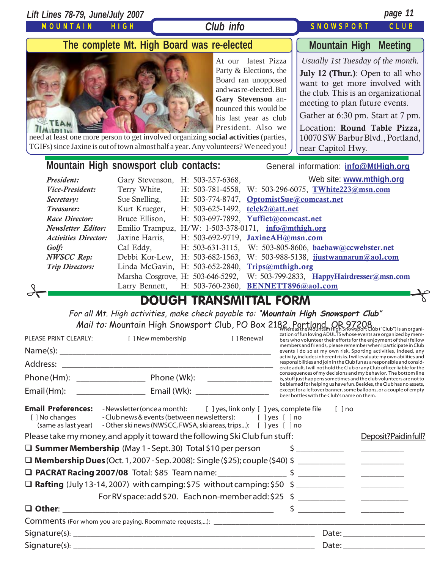| <b>Club info</b><br><b>SNOWSPORT</b><br>MOUNTAIN<br><b>HIGH</b><br>CLUB<br>The complete Mt. High Board was re-elected<br><b>Mountain High Meeting</b><br>Usually 1st Tuesday of the month.<br>latest Pizza<br>At our<br>Party & Elections, the<br><b>July 12 (Thur.)</b> : Open to all who<br>Board ran unopposed<br>want to get more involved with<br>and was re-elected. But<br>the club. This is an organizational<br>Gary Stevenson an-<br>meeting to plan future events.<br>nounced this would be<br>Gather at 6:30 pm. Start at 7 pm.<br>his last year as club<br>TEAM<br>President. Also we<br>Location: Round Table Pizza,<br>need at least one more person to get involved organizing social activities (parties,<br>10070 SW Barbur Blvd., Portland,<br>TGIFs) since Jaxine is out of town almost half a year. Any volunteers? We need you!<br>near Capitol Hwy.<br>Mountain High snowsport club contacts:<br>General information: info@MtHigh.org<br>Web site: www.mthigh.org<br>President:<br>H: 503-257-6368,<br>Gary Stevenson,<br>Terry White,<br>H: 503-781-4558, W: 503-296-6075, TWhite223@msn.com<br>Vice-President:<br>Sue Snelling,<br>H: 503-774-8747, OptomistSue@comcast.net<br>Secretary:<br>Treasurer:<br>Kurt Krueger,<br>H: 503-625-1492, telek2@att.net<br>Bruce Ellison,<br><b>Race Director:</b><br>H: 503-697-7892, Yuffiet@comcast.net<br><b>Newsletter Editor:</b><br>Emilio Trampuz, H/W: 1-503-378-0171, info@mthigh.org<br>Jaxine Harris,<br>H: 503-692-9719, JaxineAH@msn.com<br><b>Activities Director:</b><br>Cal Eddy,<br>$H: 503-631-3115,$<br>W: 503-805-8606, baebaw@ccwebster.net<br>Golf:<br>Debbi Kor-Lew,<br>$H: 503-682-1563,$<br>W: 503-988-5138, ijustwannarun@aol.com<br><b>NWSCC Rep:</b><br>Linda McGavin, H: 503-652-2840,<br><b>Trip Directors:</b><br>Trips@mthigh.org<br>W: 503-799-2833, HappyHairdresser@msn.com<br>Marsha Cosgrove, H: 503-646-5292,<br>H: 503-760-2360, BENNETT896@aol.com<br>Larry Bennett,<br><b>DOUGH TRANSMITTAL FORM</b> |  | Lift Lines 78-79, June/July 2007 | page 11 |  |
|-------------------------------------------------------------------------------------------------------------------------------------------------------------------------------------------------------------------------------------------------------------------------------------------------------------------------------------------------------------------------------------------------------------------------------------------------------------------------------------------------------------------------------------------------------------------------------------------------------------------------------------------------------------------------------------------------------------------------------------------------------------------------------------------------------------------------------------------------------------------------------------------------------------------------------------------------------------------------------------------------------------------------------------------------------------------------------------------------------------------------------------------------------------------------------------------------------------------------------------------------------------------------------------------------------------------------------------------------------------------------------------------------------------------------------------------------------------------------------------------------------------------------------------------------------------------------------------------------------------------------------------------------------------------------------------------------------------------------------------------------------------------------------------------------------------------------------------------------------------------------------------------------------------------------------------------------------------------------------------------------------------|--|----------------------------------|---------|--|
|                                                                                                                                                                                                                                                                                                                                                                                                                                                                                                                                                                                                                                                                                                                                                                                                                                                                                                                                                                                                                                                                                                                                                                                                                                                                                                                                                                                                                                                                                                                                                                                                                                                                                                                                                                                                                                                                                                                                                                                                             |  |                                  |         |  |
|                                                                                                                                                                                                                                                                                                                                                                                                                                                                                                                                                                                                                                                                                                                                                                                                                                                                                                                                                                                                                                                                                                                                                                                                                                                                                                                                                                                                                                                                                                                                                                                                                                                                                                                                                                                                                                                                                                                                                                                                             |  |                                  |         |  |
|                                                                                                                                                                                                                                                                                                                                                                                                                                                                                                                                                                                                                                                                                                                                                                                                                                                                                                                                                                                                                                                                                                                                                                                                                                                                                                                                                                                                                                                                                                                                                                                                                                                                                                                                                                                                                                                                                                                                                                                                             |  |                                  |         |  |
|                                                                                                                                                                                                                                                                                                                                                                                                                                                                                                                                                                                                                                                                                                                                                                                                                                                                                                                                                                                                                                                                                                                                                                                                                                                                                                                                                                                                                                                                                                                                                                                                                                                                                                                                                                                                                                                                                                                                                                                                             |  |                                  |         |  |
|                                                                                                                                                                                                                                                                                                                                                                                                                                                                                                                                                                                                                                                                                                                                                                                                                                                                                                                                                                                                                                                                                                                                                                                                                                                                                                                                                                                                                                                                                                                                                                                                                                                                                                                                                                                                                                                                                                                                                                                                             |  |                                  |         |  |
|                                                                                                                                                                                                                                                                                                                                                                                                                                                                                                                                                                                                                                                                                                                                                                                                                                                                                                                                                                                                                                                                                                                                                                                                                                                                                                                                                                                                                                                                                                                                                                                                                                                                                                                                                                                                                                                                                                                                                                                                             |  |                                  |         |  |
| For all Mt. High activities, make check payable to: "Mountain High Snowsport Club"<br>Mail to: Mountain High Snowsport Club, PO Box 2182, Portland, OR 97208<br>zation of fun loving ADULTS whose events are organized by mem-<br>[ ] New membership<br>PLEASE PRINT CLEARLY:<br>[ ] Renewal<br>bers who volunteer their efforts for the enjoyment of their fellow<br>members and friends, please remember when I participate in Club<br>events I do so at my own risk. Sporting activities, indeed, any<br>activity, includes inherent risks. I will evaluate my own abilities and<br>responsibilities and join in the Club fun as a responsible and consid-                                                                                                                                                                                                                                                                                                                                                                                                                                                                                                                                                                                                                                                                                                                                                                                                                                                                                                                                                                                                                                                                                                                                                                                                                                                                                                                                               |  |                                  |         |  |
| erate adult. I will not hold the Club or any Club officer liable for the<br>consequences of my decisions and my behavior. The bottom line                                                                                                                                                                                                                                                                                                                                                                                                                                                                                                                                                                                                                                                                                                                                                                                                                                                                                                                                                                                                                                                                                                                                                                                                                                                                                                                                                                                                                                                                                                                                                                                                                                                                                                                                                                                                                                                                   |  |                                  |         |  |
| is, stuff just happens sometimes and the club volunteers are not to<br>be blamed for helping us have fun. Besides, the Club has no assets,                                                                                                                                                                                                                                                                                                                                                                                                                                                                                                                                                                                                                                                                                                                                                                                                                                                                                                                                                                                                                                                                                                                                                                                                                                                                                                                                                                                                                                                                                                                                                                                                                                                                                                                                                                                                                                                                  |  |                                  |         |  |
| except for a leftover banner, some balloons, or a couple of empty<br>beer bottles with the Club's name on them.<br><b>Email Preferences:</b> -Newsletter (once a month): [ ] yes, link only [ ] yes, complete file<br>$[ ]$ no<br>- Club news & events (between newsletters): [ ] yes [ ] no<br>[ ] No changes<br>(same as last year) - Other ski news (NWSCC, FWSA, ski areas, trips): [ ] yes [ ] no<br>Please take my money, and apply it toward the following Ski Club fun stuff:<br>Deposit?Paidinfull?<br>$\Box$ Summer Membership (May 1 - Sept. 30) Total \$10 per person $\Box$<br>$\begin{tabular}{ccccc} \multicolumn{2}{c }{\textbf{1} & \textbf{2} & \textbf{3} & \textbf{4} & \textbf{5} & \textbf{5} & \textbf{6} & \textbf{6} & \textbf{7} & \textbf{8} & \textbf{8} & \textbf{9} & \textbf{10} & \textbf{10} & \textbf{10} & \textbf{10} & \textbf{10} & \textbf{10} & \textbf{10} & \textbf{10} & \textbf{10} & \textbf{10} & \textbf{10} & \textbf{10} & \textbf{10} & \textbf{10} & \textbf{1$                                                                                                                                                                                                                                                                                                                                                                                                                                                                                                                                                                                                                                                                                                                                                                                                                                                                                                                                                                                          |  |                                  |         |  |
| For RV space: add \$20. Each non-member add: \$25 \$ ______________________________                                                                                                                                                                                                                                                                                                                                                                                                                                                                                                                                                                                                                                                                                                                                                                                                                                                                                                                                                                                                                                                                                                                                                                                                                                                                                                                                                                                                                                                                                                                                                                                                                                                                                                                                                                                                                                                                                                                         |  |                                  |         |  |
|                                                                                                                                                                                                                                                                                                                                                                                                                                                                                                                                                                                                                                                                                                                                                                                                                                                                                                                                                                                                                                                                                                                                                                                                                                                                                                                                                                                                                                                                                                                                                                                                                                                                                                                                                                                                                                                                                                                                                                                                             |  |                                  |         |  |